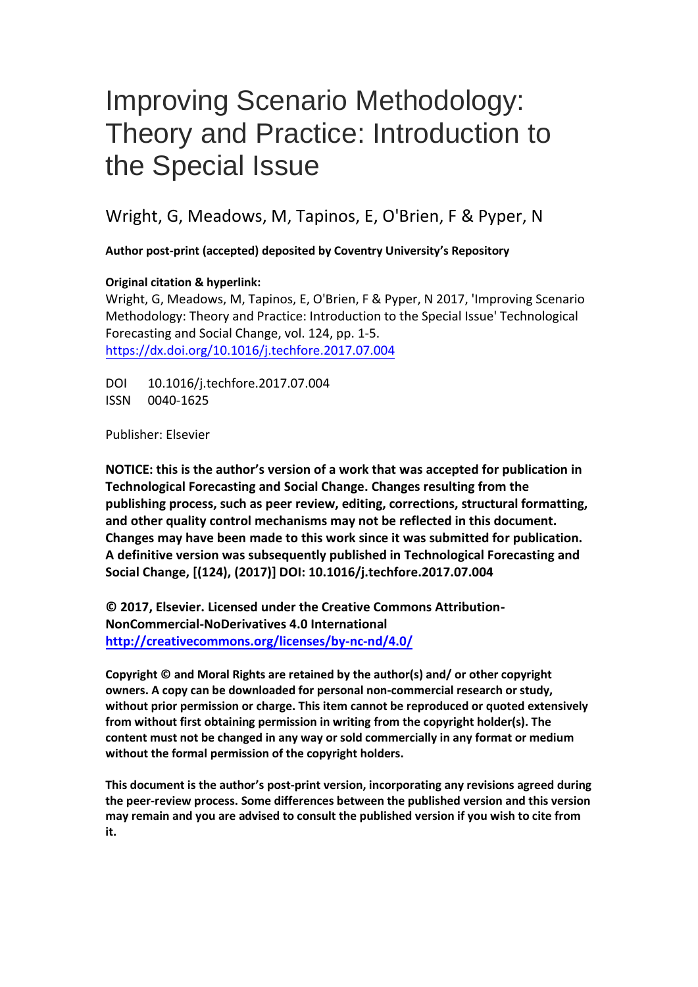# Improving Scenario Methodology: Theory and Practice: Introduction to the Special Issue

Wright, G, Meadows, M, Tapinos, E, O'Brien, F & Pyper, N

**Author post-print (accepted) deposited by Coventry University's Repository**

## **Original citation & hyperlink:**

Wright, G, Meadows, M, Tapinos, E, O'Brien, F & Pyper, N 2017, 'Improving Scenario Methodology: Theory and Practice: Introduction to the Special Issue' Technological Forecasting and Social Change, vol. 124, pp. 1-5. <https://dx.doi.org/10.1016/j.techfore.2017.07.004>

DOI 10.1016/j.techfore.2017.07.004 ISSN 0040-1625

Publisher: Elsevier

**NOTICE: this is the author's version of a work that was accepted for publication in Technological Forecasting and Social Change. Changes resulting from the publishing process, such as peer review, editing, corrections, structural formatting, and other quality control mechanisms may not be reflected in this document. Changes may have been made to this work since it was submitted for publication. A definitive version was subsequently published in Technological Forecasting and Social Change, [(124), (2017)] DOI: 10.1016/j.techfore.2017.07.004** 

**© 2017, Elsevier. Licensed under the Creative Commons Attribution-NonCommercial-NoDerivatives 4.0 International <http://creativecommons.org/licenses/by-nc-nd/4.0/>**

**Copyright © and Moral Rights are retained by the author(s) and/ or other copyright owners. A copy can be downloaded for personal non-commercial research or study, without prior permission or charge. This item cannot be reproduced or quoted extensively from without first obtaining permission in writing from the copyright holder(s). The content must not be changed in any way or sold commercially in any format or medium without the formal permission of the copyright holders.** 

**This document is the author's post-print version, incorporating any revisions agreed during the peer-review process. Some differences between the published version and this version may remain and you are advised to consult the published version if you wish to cite from it.**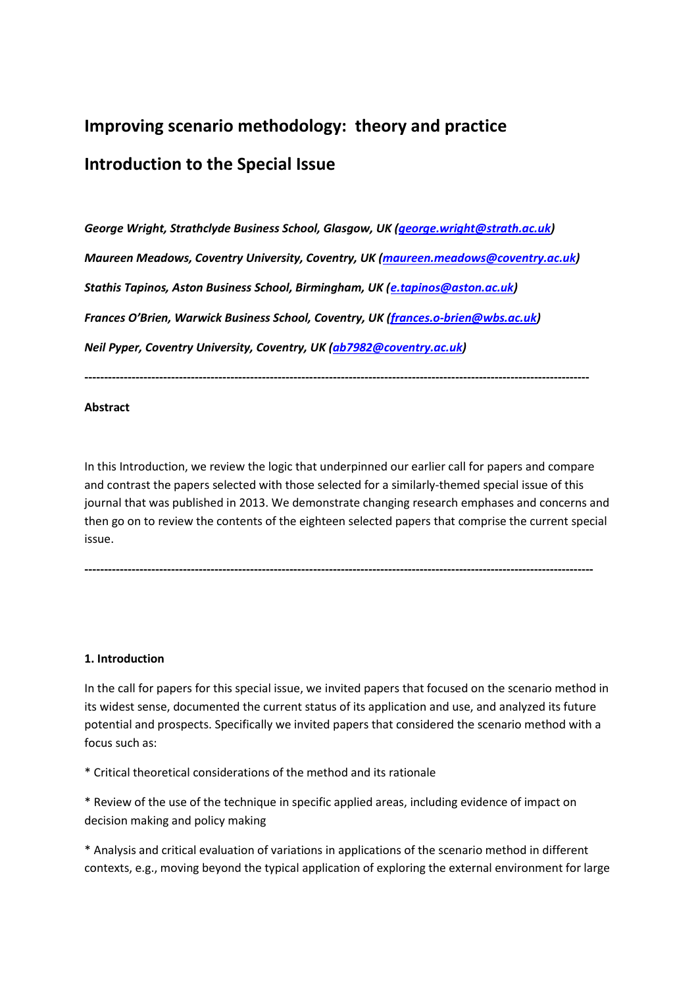# **Improving scenario methodology: theory and practice Introduction to the Special Issue**

*George Wright, Strathclyde Business School, Glasgow, UK [\(george.wright@strath.ac.uk\)](mailto:george.wright@strath.ac.uk) Maureen Meadows, Coventry University, Coventry, UK [\(maureen.meadows@coventry.ac.uk\)](mailto:maureen.meadows@coventry.ac.uk) Stathis Tapinos, Aston Business School, Birmingham, UK [\(e.tapinos@aston.ac.uk\)](mailto:e.tapinos@aston.ac.uk) Frances O'Brien, Warwick Business School, Coventry, UK [\(frances.o-brien@wbs.ac.uk\)](mailto:frances.o-brien@wbs.ac.uk) Neil Pyper, Coventry University, Coventry, UK [\(ab7982@coventry.ac.uk\)](mailto:ab7982@coventry.ac.uk)* 

**--------------------------------------------------------------------------------------------------------------------------------**

#### **Abstract**

In this Introduction, we review the logic that underpinned our earlier call for papers and compare and contrast the papers selected with those selected for a similarly-themed special issue of this journal that was published in 2013. We demonstrate changing research emphases and concerns and then go on to review the contents of the eighteen selected papers that comprise the current special issue.

**---------------------------------------------------------------------------------------------------------------------------------**

#### **1. Introduction**

In the call for papers for this special issue, we invited papers that focused on the scenario method in its widest sense, documented the current status of its application and use, and analyzed its future potential and prospects. Specifically we invited papers that considered the scenario method with a focus such as:

\* Critical theoretical considerations of the method and its rationale

\* Review of the use of the technique in specific applied areas, including evidence of impact on decision making and policy making

\* Analysis and critical evaluation of variations in applications of the scenario method in different contexts, e.g., moving beyond the typical application of exploring the external environment for large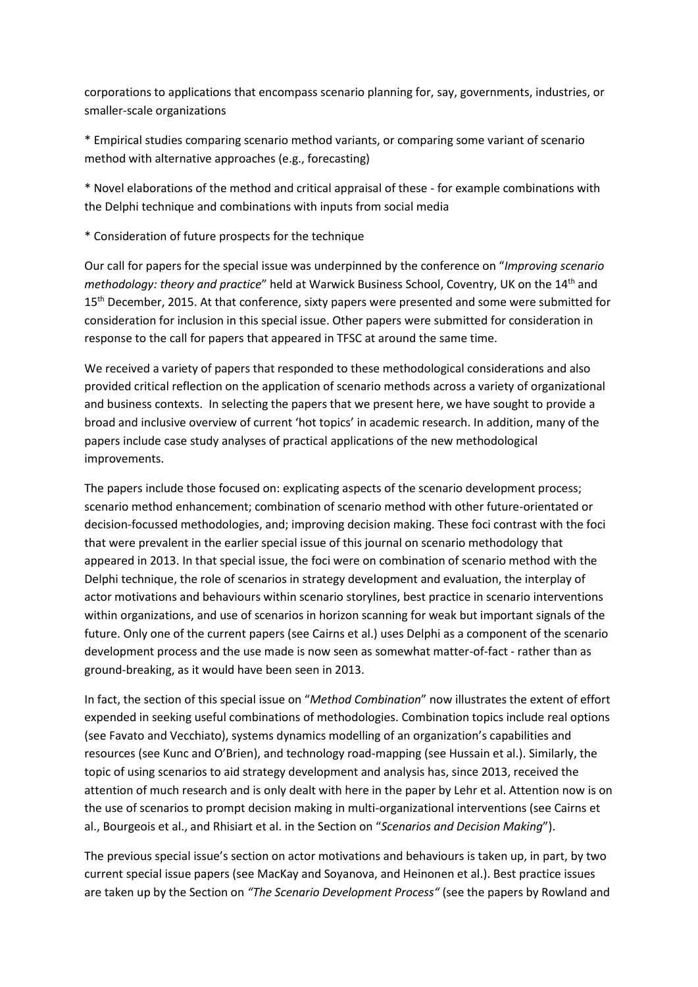corporations to applications that encompass scenario planning for, say, governments, industries, or smaller-scale organizations

\* Empirical studies comparing scenario method variants, or comparing some variant of scenario method with alternative approaches (e.g., forecasting)

\* Novel elaborations of the method and critical appraisal of these - for example combinations with the Delphi technique and combinations with inputs from social media

\* Consideration of future prospects for the technique

Our call for papers for the special issue was underpinned by the conference on "*Improving scenario methodology: theory and practice*" held at Warwick Business School, Coventry, UK on the 14<sup>th</sup> and 15<sup>th</sup> December, 2015. At that conference, sixty papers were presented and some were submitted for consideration for inclusion in this special issue. Other papers were submitted for consideration in response to the call for papers that appeared in TFSC at around the same time.

We received a variety of papers that responded to these methodological considerations and also provided critical reflection on the application of scenario methods across a variety of organizational and business contexts. In selecting the papers that we present here, we have sought to provide a broad and inclusive overview of current 'hot topics' in academic research. In addition, many of the papers include case study analyses of practical applications of the new methodological improvements.

The papers include those focused on: explicating aspects of the scenario development process; scenario method enhancement; combination of scenario method with other future-orientated or decision-focussed methodologies, and; improving decision making. These foci contrast with the foci that were prevalent in the earlier special issue of this journal on scenario methodology that appeared in 2013. In that special issue, the foci were on combination of scenario method with the Delphi technique, the role of scenarios in strategy development and evaluation, the interplay of actor motivations and behaviours within scenario storylines, best practice in scenario interventions within organizations, and use of scenarios in horizon scanning for weak but important signals of the future. Only one of the current papers (see Cairns et al.) uses Delphi as a component of the scenario development process and the use made is now seen as somewhat matter-of-fact - rather than as ground-breaking, as it would have been seen in 2013.

In fact, the section of this special issue on "*Method Combination*" now illustrates the extent of effort expended in seeking useful combinations of methodologies. Combination topics include real options (see Favato and Vecchiato), systems dynamics modelling of an organization's capabilities and resources (see Kunc and O'Brien), and technology road-mapping (see Hussain et al.). Similarly, the topic of using scenarios to aid strategy development and analysis has, since 2013, received the attention of much research and is only dealt with here in the paper by Lehr et al. Attention now is on the use of scenarios to prompt decision making in multi-organizational interventions (see Cairns et al., Bourgeois et al., and Rhisiart et al. in the Section on "*Scenarios and Decision Making*").

The previous special issue's section on actor motivations and behaviours is taken up, in part, by two current special issue papers (see MacKay and Soyanova, and Heinonen et al.). Best practice issues are taken up by the Section on *"The Scenario Development Process"* (see the papers by Rowland and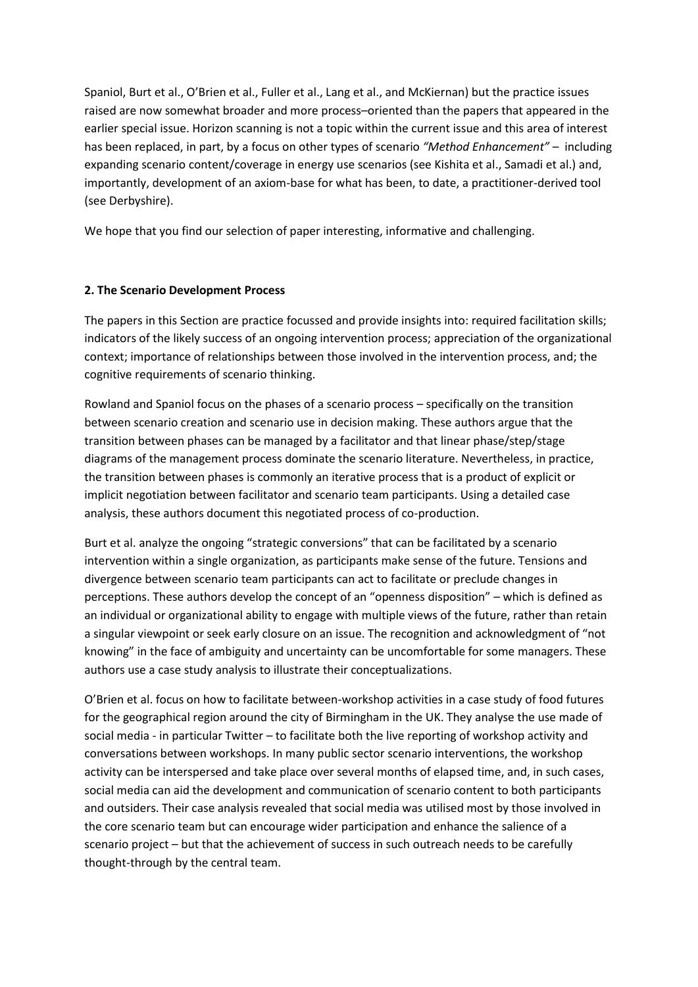Spaniol, Burt et al., O'Brien et al., Fuller et al., Lang et al., and McKiernan) but the practice issues raised are now somewhat broader and more process–oriented than the papers that appeared in the earlier special issue. Horizon scanning is not a topic within the current issue and this area of interest has been replaced, in part, by a focus on other types of scenario *"Method Enhancement"* – including expanding scenario content/coverage in energy use scenarios (see Kishita et al., Samadi et al.) and, importantly, development of an axiom-base for what has been, to date, a practitioner-derived tool (see Derbyshire).

We hope that you find our selection of paper interesting, informative and challenging.

### **2. The Scenario Development Process**

The papers in this Section are practice focussed and provide insights into: required facilitation skills; indicators of the likely success of an ongoing intervention process; appreciation of the organizational context; importance of relationships between those involved in the intervention process, and; the cognitive requirements of scenario thinking.

Rowland and Spaniol focus on the phases of a scenario process – specifically on the transition between scenario creation and scenario use in decision making. These authors argue that the transition between phases can be managed by a facilitator and that linear phase/step/stage diagrams of the management process dominate the scenario literature. Nevertheless, in practice, the transition between phases is commonly an iterative process that is a product of explicit or implicit negotiation between facilitator and scenario team participants. Using a detailed case analysis, these authors document this negotiated process of co-production.

Burt et al. analyze the ongoing "strategic conversions" that can be facilitated by a scenario intervention within a single organization, as participants make sense of the future. Tensions and divergence between scenario team participants can act to facilitate or preclude changes in perceptions. These authors develop the concept of an "openness disposition" – which is defined as an individual or organizational ability to engage with multiple views of the future, rather than retain a singular viewpoint or seek early closure on an issue. The recognition and acknowledgment of "not knowing" in the face of ambiguity and uncertainty can be uncomfortable for some managers. These authors use a case study analysis to illustrate their conceptualizations.

O'Brien et al. focus on how to facilitate between-workshop activities in a case study of food futures for the geographical region around the city of Birmingham in the UK. They analyse the use made of social media - in particular Twitter – to facilitate both the live reporting of workshop activity and conversations between workshops. In many public sector scenario interventions, the workshop activity can be interspersed and take place over several months of elapsed time, and, in such cases, social media can aid the development and communication of scenario content to both participants and outsiders. Their case analysis revealed that social media was utilised most by those involved in the core scenario team but can encourage wider participation and enhance the salience of a scenario project – but that the achievement of success in such outreach needs to be carefully thought-through by the central team.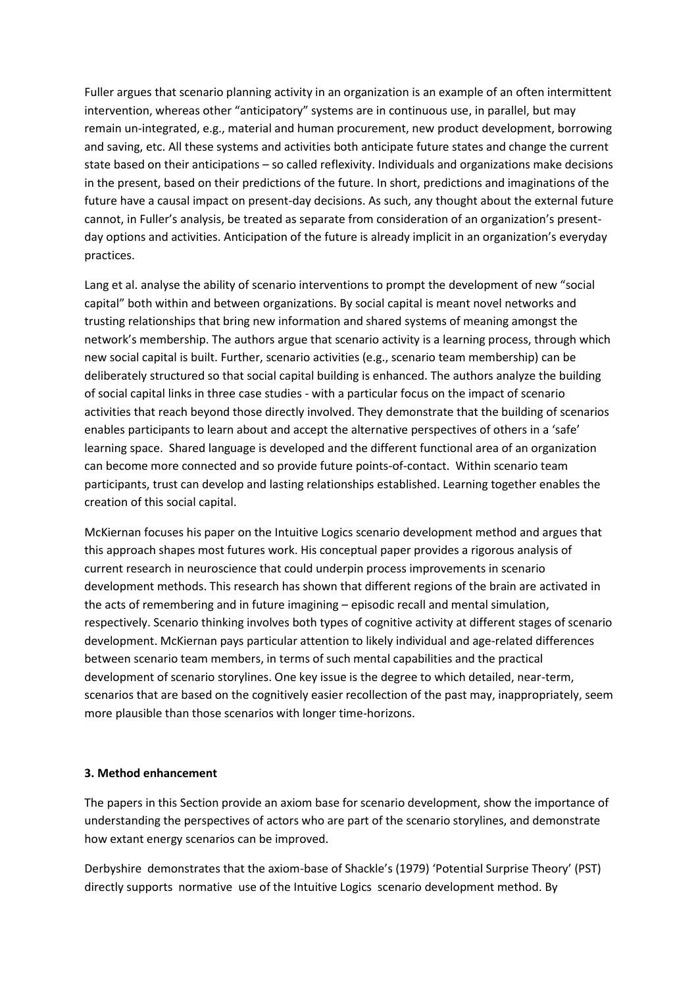Fuller argues that scenario planning activity in an organization is an example of an often intermittent intervention, whereas other "anticipatory" systems are in continuous use, in parallel, but may remain un-integrated, e.g., material and human procurement, new product development, borrowing and saving, etc. All these systems and activities both anticipate future states and change the current state based on their anticipations – so called reflexivity. Individuals and organizations make decisions in the present, based on their predictions of the future. In short, predictions and imaginations of the future have a causal impact on present-day decisions. As such, any thought about the external future cannot, in Fuller's analysis, be treated as separate from consideration of an organization's presentday options and activities. Anticipation of the future is already implicit in an organization's everyday practices.

Lang et al. analyse the ability of scenario interventions to prompt the development of new "social capital" both within and between organizations. By social capital is meant novel networks and trusting relationships that bring new information and shared systems of meaning amongst the network's membership. The authors argue that scenario activity is a learning process, through which new social capital is built. Further, scenario activities (e.g., scenario team membership) can be deliberately structured so that social capital building is enhanced. The authors analyze the building of social capital links in three case studies - with a particular focus on the impact of scenario activities that reach beyond those directly involved. They demonstrate that the building of scenarios enables participants to learn about and accept the alternative perspectives of others in a 'safe' learning space. Shared language is developed and the different functional area of an organization can become more connected and so provide future points-of-contact. Within scenario team participants, trust can develop and lasting relationships established. Learning together enables the creation of this social capital.

McKiernan focuses his paper on the Intuitive Logics scenario development method and argues that this approach shapes most futures work. His conceptual paper provides a rigorous analysis of current research in neuroscience that could underpin process improvements in scenario development methods. This research has shown that different regions of the brain are activated in the acts of remembering and in future imagining – episodic recall and mental simulation, respectively. Scenario thinking involves both types of cognitive activity at different stages of scenario development. McKiernan pays particular attention to likely individual and age-related differences between scenario team members, in terms of such mental capabilities and the practical development of scenario storylines. One key issue is the degree to which detailed, near-term, scenarios that are based on the cognitively easier recollection of the past may, inappropriately, seem more plausible than those scenarios with longer time-horizons.

#### **3. Method enhancement**

The papers in this Section provide an axiom base for scenario development, show the importance of understanding the perspectives of actors who are part of the scenario storylines, and demonstrate how extant energy scenarios can be improved.

Derbyshire demonstrates that the axiom-base of Shackle's (1979) 'Potential Surprise Theory' (PST) directly supports normative use of the Intuitive Logics scenario development method. By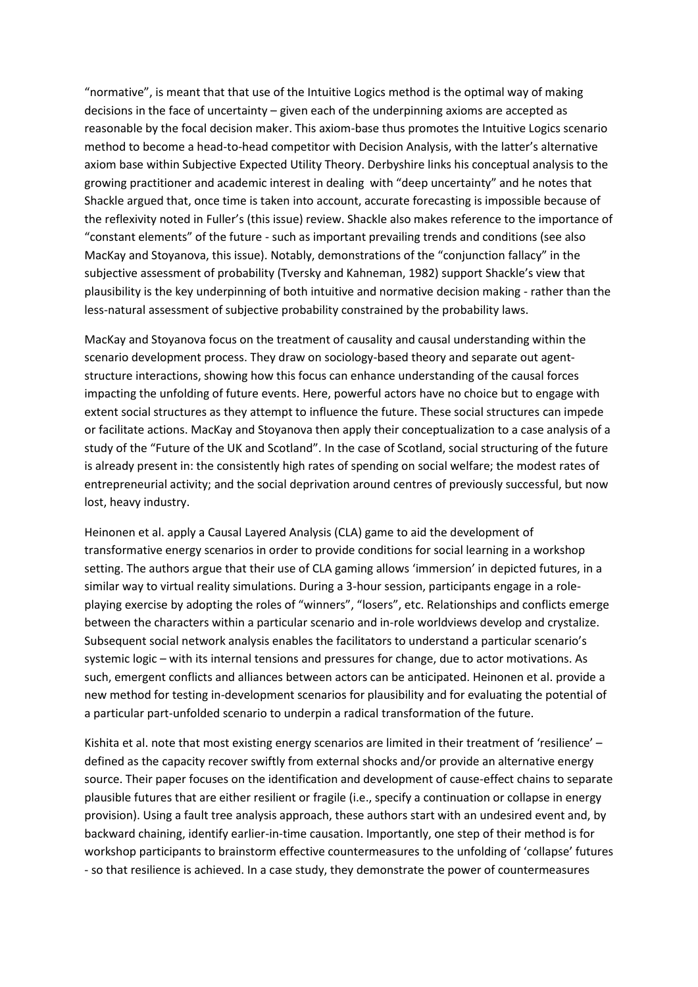"normative", is meant that that use of the Intuitive Logics method is the optimal way of making decisions in the face of uncertainty – given each of the underpinning axioms are accepted as reasonable by the focal decision maker. This axiom-base thus promotes the Intuitive Logics scenario method to become a head-to-head competitor with Decision Analysis, with the latter's alternative axiom base within Subjective Expected Utility Theory. Derbyshire links his conceptual analysis to the growing practitioner and academic interest in dealing with "deep uncertainty" and he notes that Shackle argued that, once time is taken into account, accurate forecasting is impossible because of the reflexivity noted in Fuller's (this issue) review. Shackle also makes reference to the importance of "constant elements" of the future - such as important prevailing trends and conditions (see also MacKay and Stoyanova, this issue). Notably, demonstrations of the "conjunction fallacy" in the subjective assessment of probability (Tversky and Kahneman, 1982) support Shackle's view that plausibility is the key underpinning of both intuitive and normative decision making - rather than the less-natural assessment of subjective probability constrained by the probability laws.

MacKay and Stoyanova focus on the treatment of causality and causal understanding within the scenario development process. They draw on sociology-based theory and separate out agentstructure interactions, showing how this focus can enhance understanding of the causal forces impacting the unfolding of future events. Here, powerful actors have no choice but to engage with extent social structures as they attempt to influence the future. These social structures can impede or facilitate actions. MacKay and Stoyanova then apply their conceptualization to a case analysis of a study of the "Future of the UK and Scotland". In the case of Scotland, social structuring of the future is already present in: the consistently high rates of spending on social welfare; the modest rates of entrepreneurial activity; and the social deprivation around centres of previously successful, but now lost, heavy industry.

Heinonen et al. apply a Causal Layered Analysis (CLA) game to aid the development of transformative energy scenarios in order to provide conditions for social learning in a workshop setting. The authors argue that their use of CLA gaming allows 'immersion' in depicted futures, in a similar way to virtual reality simulations. During a 3-hour session, participants engage in a roleplaying exercise by adopting the roles of "winners", "losers", etc. Relationships and conflicts emerge between the characters within a particular scenario and in-role worldviews develop and crystalize. Subsequent social network analysis enables the facilitators to understand a particular scenario's systemic logic – with its internal tensions and pressures for change, due to actor motivations. As such, emergent conflicts and alliances between actors can be anticipated. Heinonen et al. provide a new method for testing in-development scenarios for plausibility and for evaluating the potential of a particular part-unfolded scenario to underpin a radical transformation of the future.

Kishita et al. note that most existing energy scenarios are limited in their treatment of 'resilience' – defined as the capacity recover swiftly from external shocks and/or provide an alternative energy source. Their paper focuses on the identification and development of cause-effect chains to separate plausible futures that are either resilient or fragile (i.e., specify a continuation or collapse in energy provision). Using a fault tree analysis approach, these authors start with an undesired event and, by backward chaining, identify earlier-in-time causation. Importantly, one step of their method is for workshop participants to brainstorm effective countermeasures to the unfolding of 'collapse' futures - so that resilience is achieved. In a case study, they demonstrate the power of countermeasures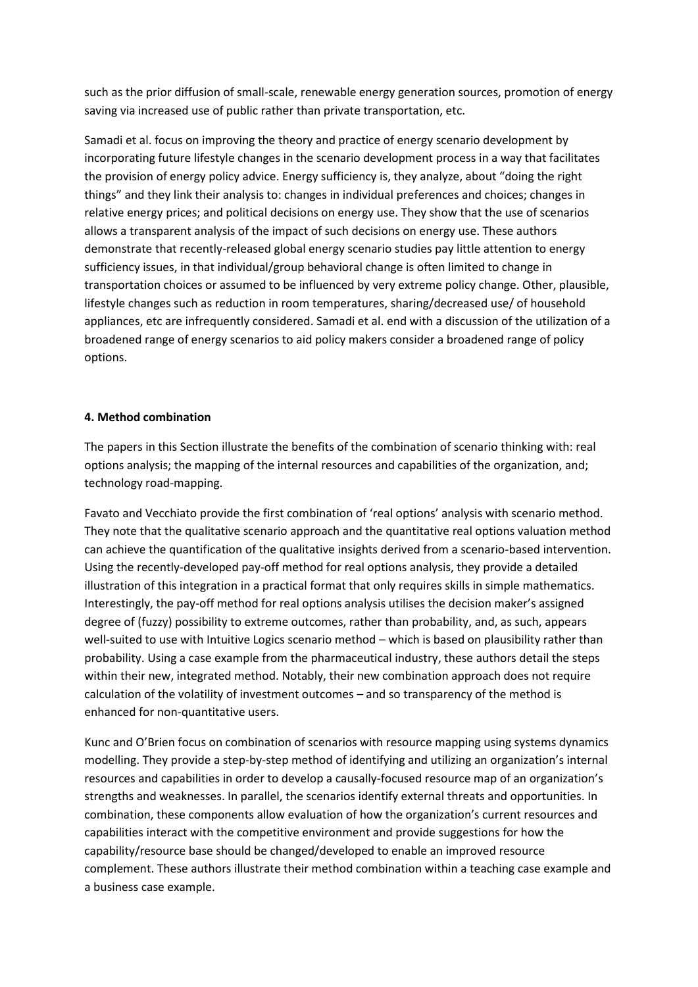such as the prior diffusion of small-scale, renewable energy generation sources, promotion of energy saving via increased use of public rather than private transportation, etc.

Samadi et al. focus on improving the theory and practice of energy scenario development by incorporating future lifestyle changes in the scenario development process in a way that facilitates the provision of energy policy advice. Energy sufficiency is, they analyze, about "doing the right things" and they link their analysis to: changes in individual preferences and choices; changes in relative energy prices; and political decisions on energy use. They show that the use of scenarios allows a transparent analysis of the impact of such decisions on energy use. These authors demonstrate that recently-released global energy scenario studies pay little attention to energy sufficiency issues, in that individual/group behavioral change is often limited to change in transportation choices or assumed to be influenced by very extreme policy change. Other, plausible, lifestyle changes such as reduction in room temperatures, sharing/decreased use/ of household appliances, etc are infrequently considered. Samadi et al. end with a discussion of the utilization of a broadened range of energy scenarios to aid policy makers consider a broadened range of policy options.

#### **4. Method combination**

The papers in this Section illustrate the benefits of the combination of scenario thinking with: real options analysis; the mapping of the internal resources and capabilities of the organization, and; technology road-mapping.

Favato and Vecchiato provide the first combination of 'real options' analysis with scenario method. They note that the qualitative scenario approach and the quantitative real options valuation method can achieve the quantification of the qualitative insights derived from a scenario-based intervention. Using the recently-developed pay-off method for real options analysis, they provide a detailed illustration of this integration in a practical format that only requires skills in simple mathematics. Interestingly, the pay-off method for real options analysis utilises the decision maker's assigned degree of (fuzzy) possibility to extreme outcomes, rather than probability, and, as such, appears well-suited to use with Intuitive Logics scenario method – which is based on plausibility rather than probability. Using a case example from the pharmaceutical industry, these authors detail the steps within their new, integrated method. Notably, their new combination approach does not require calculation of the volatility of investment outcomes – and so transparency of the method is enhanced for non-quantitative users.

Kunc and O'Brien focus on combination of scenarios with resource mapping using systems dynamics modelling. They provide a step-by-step method of identifying and utilizing an organization's internal resources and capabilities in order to develop a causally-focused resource map of an organization's strengths and weaknesses. In parallel, the scenarios identify external threats and opportunities. In combination, these components allow evaluation of how the organization's current resources and capabilities interact with the competitive environment and provide suggestions for how the capability/resource base should be changed/developed to enable an improved resource complement. These authors illustrate their method combination within a teaching case example and a business case example.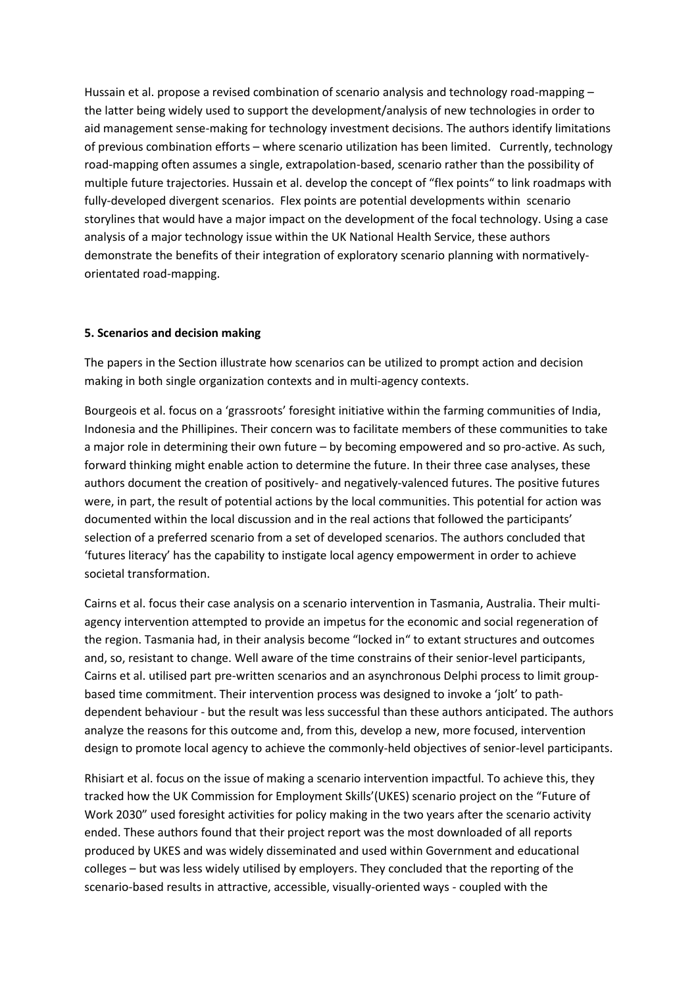Hussain et al. propose a revised combination of scenario analysis and technology road-mapping – the latter being widely used to support the development/analysis of new technologies in order to aid management sense-making for technology investment decisions. The authors identify limitations of previous combination efforts – where scenario utilization has been limited. Currently, technology road-mapping often assumes a single, extrapolation-based, scenario rather than the possibility of multiple future trajectories. Hussain et al. develop the concept of "flex points" to link roadmaps with fully-developed divergent scenarios. Flex points are potential developments within scenario storylines that would have a major impact on the development of the focal technology. Using a case analysis of a major technology issue within the UK National Health Service, these authors demonstrate the benefits of their integration of exploratory scenario planning with normativelyorientated road-mapping.

#### **5. Scenarios and decision making**

The papers in the Section illustrate how scenarios can be utilized to prompt action and decision making in both single organization contexts and in multi-agency contexts.

Bourgeois et al. focus on a 'grassroots' foresight initiative within the farming communities of India, Indonesia and the Phillipines. Their concern was to facilitate members of these communities to take a major role in determining their own future – by becoming empowered and so pro-active. As such, forward thinking might enable action to determine the future. In their three case analyses, these authors document the creation of positively- and negatively-valenced futures. The positive futures were, in part, the result of potential actions by the local communities. This potential for action was documented within the local discussion and in the real actions that followed the participants' selection of a preferred scenario from a set of developed scenarios. The authors concluded that 'futures literacy' has the capability to instigate local agency empowerment in order to achieve societal transformation.

Cairns et al. focus their case analysis on a scenario intervention in Tasmania, Australia. Their multiagency intervention attempted to provide an impetus for the economic and social regeneration of the region. Tasmania had, in their analysis become "locked in" to extant structures and outcomes and, so, resistant to change. Well aware of the time constrains of their senior-level participants, Cairns et al. utilised part pre-written scenarios and an asynchronous Delphi process to limit groupbased time commitment. Their intervention process was designed to invoke a 'jolt' to pathdependent behaviour - but the result was less successful than these authors anticipated. The authors analyze the reasons for this outcome and, from this, develop a new, more focused, intervention design to promote local agency to achieve the commonly-held objectives of senior-level participants.

Rhisiart et al. focus on the issue of making a scenario intervention impactful. To achieve this, they tracked how the UK Commission for Employment Skills'(UKES) scenario project on the "Future of Work 2030" used foresight activities for policy making in the two years after the scenario activity ended. These authors found that their project report was the most downloaded of all reports produced by UKES and was widely disseminated and used within Government and educational colleges – but was less widely utilised by employers. They concluded that the reporting of the scenario-based results in attractive, accessible, visually-oriented ways - coupled with the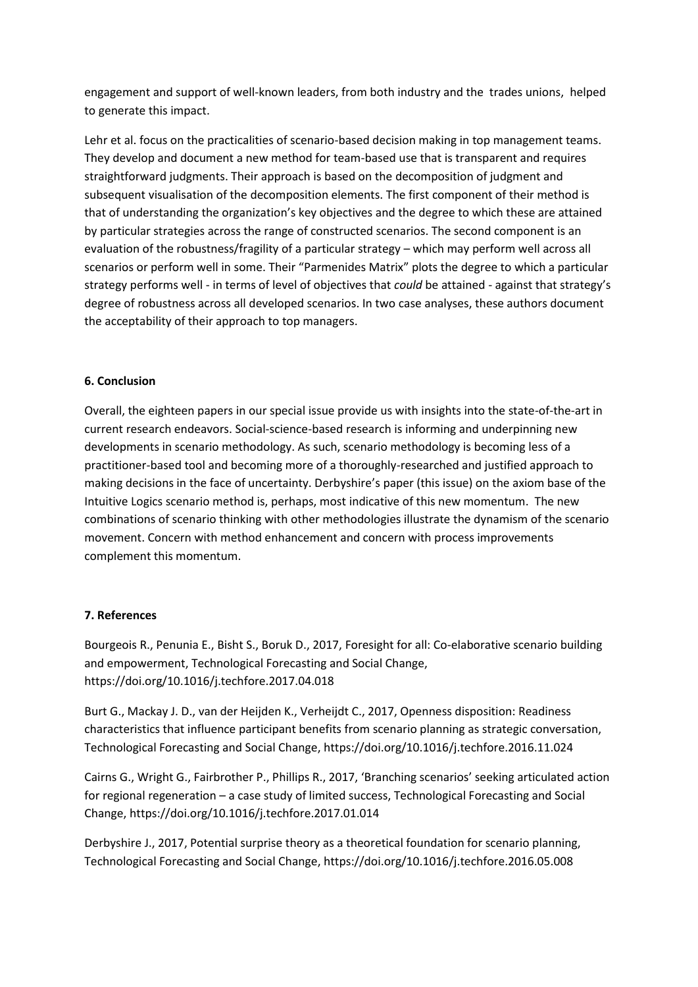engagement and support of well-known leaders, from both industry and the trades unions, helped to generate this impact.

Lehr et al. focus on the practicalities of scenario-based decision making in top management teams. They develop and document a new method for team-based use that is transparent and requires straightforward judgments. Their approach is based on the decomposition of judgment and subsequent visualisation of the decomposition elements. The first component of their method is that of understanding the organization's key objectives and the degree to which these are attained by particular strategies across the range of constructed scenarios. The second component is an evaluation of the robustness/fragility of a particular strategy – which may perform well across all scenarios or perform well in some. Their "Parmenides Matrix" plots the degree to which a particular strategy performs well - in terms of level of objectives that *could* be attained - against that strategy's degree of robustness across all developed scenarios. In two case analyses, these authors document the acceptability of their approach to top managers.

#### **6. Conclusion**

Overall, the eighteen papers in our special issue provide us with insights into the state-of-the-art in current research endeavors. Social-science-based research is informing and underpinning new developments in scenario methodology. As such, scenario methodology is becoming less of a practitioner-based tool and becoming more of a thoroughly-researched and justified approach to making decisions in the face of uncertainty. Derbyshire's paper (this issue) on the axiom base of the Intuitive Logics scenario method is, perhaps, most indicative of this new momentum. The new combinations of scenario thinking with other methodologies illustrate the dynamism of the scenario movement. Concern with method enhancement and concern with process improvements complement this momentum.

#### **7. References**

Bourgeois R., Penunia E., Bisht S., Boruk D., 2017, Foresight for all: Co-elaborative scenario building and empowerment, Technological Forecasting and Social Change, <https://doi.org/10.1016/j.techfore.2017.04.018>

Burt G., Mackay J. D., van der Heijden K., Verheijdt C., 2017, Openness disposition: Readiness characteristics that influence participant benefits from scenario planning as strategic conversation, Technological Forecasting and Social Change,<https://doi.org/10.1016/j.techfore.2016.11.024>

Cairns G., Wright G., Fairbrother P., Phillips R., 2017, 'Branching scenarios' seeking articulated action for regional regeneration – a case study of limited success, Technological Forecasting and Social Change[, https://doi.org/10.1016/j.techfore.2017.01.014](https://doi.org/10.1016/j.techfore.2017.01.014)

Derbyshire J., 2017, Potential surprise theory as a theoretical foundation for scenario planning, Technological Forecasting and Social Change,<https://doi.org/10.1016/j.techfore.2016.05.008>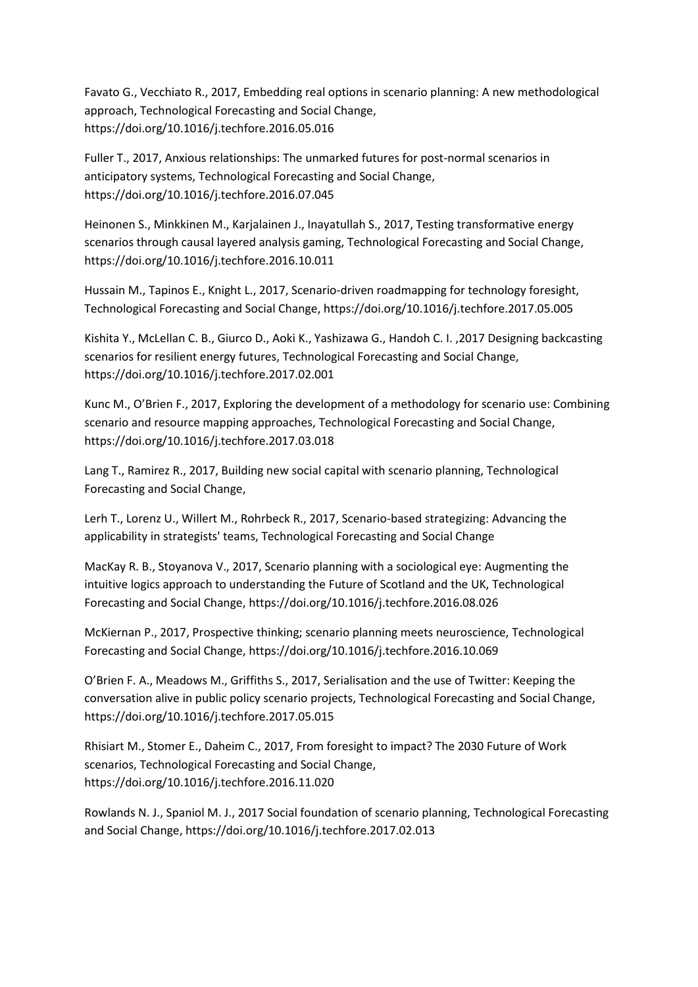Favato G., Vecchiato R., 2017, Embedding real options in scenario planning: A new methodological approach, Technological Forecasting and Social Change, <https://doi.org/10.1016/j.techfore.2016.05.016>

Fuller T., 2017, Anxious relationships: The unmarked futures for post-normal scenarios in anticipatory systems, Technological Forecasting and Social Change, <https://doi.org/10.1016/j.techfore.2016.07.045>

Heinonen S., Minkkinen M., Karjalainen J., Inayatullah S., 2017, Testing transformative energy scenarios through causal layered analysis gaming, Technological Forecasting and Social Change, <https://doi.org/10.1016/j.techfore.2016.10.011>

Hussain M., Tapinos E., Knight L., 2017, Scenario-driven roadmapping for technology foresight, Technological Forecasting and Social Change, https://doi.org/10.1016/j.techfore.2017.05.005

Kishita Y., McLellan C. B., Giurco D., Aoki K., Yashizawa G., Handoh C. I. ,2017 Designing backcasting scenarios for resilient energy futures, Technological Forecasting and Social Change, <https://doi.org/10.1016/j.techfore.2017.02.001>

Kunc M., O'Brien F., 2017, Exploring the development of a methodology for scenario use: Combining scenario and resource mapping approaches, Technological Forecasting and Social Change, <https://doi.org/10.1016/j.techfore.2017.03.018>

Lang T., Ramirez R., 2017, Building new social capital with scenario planning, Technological Forecasting and Social Change,

Lerh T., Lorenz U., Willert M., Rohrbeck R., 2017, Scenario-based strategizing: Advancing the applicability in strategists' teams, Technological Forecasting and Social Change

MacKay R. B., Stoyanova V., 2017, Scenario planning with a sociological eye: Augmenting the intuitive logics approach to understanding the Future of Scotland and the UK, Technological Forecasting and Social Change,<https://doi.org/10.1016/j.techfore.2016.08.026>

McKiernan P., 2017, Prospective thinking; scenario planning meets neuroscience, Technological Forecasting and Social Change,<https://doi.org/10.1016/j.techfore.2016.10.069>

O'Brien F. A., Meadows M., Griffiths S., 2017, Serialisation and the use of Twitter: Keeping the conversation alive in public policy scenario projects, Technological Forecasting and Social Change, <https://doi.org/10.1016/j.techfore.2017.05.015>

Rhisiart M., Stomer E., Daheim C., 2017, From foresight to impact? The 2030 Future of Work scenarios, Technological Forecasting and Social Change, <https://doi.org/10.1016/j.techfore.2016.11.020>

Rowlands N. J., Spaniol M. J., 2017 Social foundation of scenario planning, Technological Forecasting and Social Change,<https://doi.org/10.1016/j.techfore.2017.02.013>